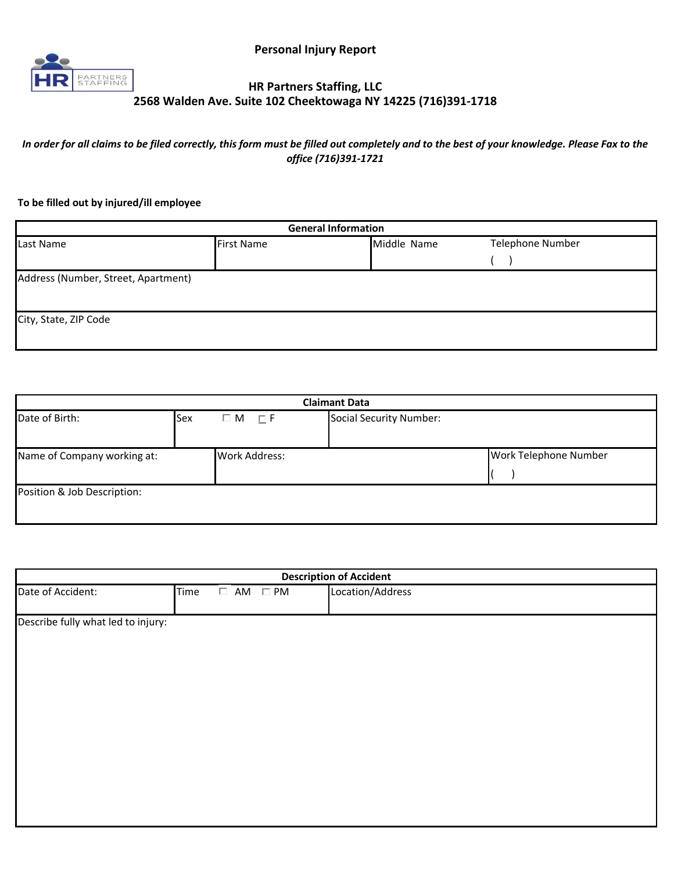

## **HR Partners Staffing, LLC 2568 Walden Ave. Suite 102 Cheektowaga NY 14225 (716)391-1718**

*In order for all claims to be filed correctly, this form must be filled out completely and to the best of your knowledge. Please Fax to the office (716)391-1721*

## **To be filled out by injured/ill employee**

| <b>General Information</b>          |                   |             |                         |  |  |
|-------------------------------------|-------------------|-------------|-------------------------|--|--|
| Last Name                           | <b>First Name</b> | Middle Name | <b>Telephone Number</b> |  |  |
|                                     |                   |             |                         |  |  |
| Address (Number, Street, Apartment) |                   |             |                         |  |  |
| City, State, ZIP Code               |                   |             |                         |  |  |

| <b>Claimant Data</b>        |     |                      |                         |                       |
|-----------------------------|-----|----------------------|-------------------------|-----------------------|
| Date of Birth:              | Sex | $\Box$ M<br>$\Box$ F | Social Security Number: |                       |
| Name of Company working at: |     | <b>Work Address:</b> |                         | Work Telephone Number |
| Position & Job Description: |     |                      |                         |                       |

| <b>Description of Accident</b>     |      |  |                           |                  |
|------------------------------------|------|--|---------------------------|------------------|
| Date of Accident:                  | Time |  | $\square$ AM $\square$ PM | Location/Address |
|                                    |      |  |                           |                  |
| Describe fully what led to injury: |      |  |                           |                  |
|                                    |      |  |                           |                  |
|                                    |      |  |                           |                  |
|                                    |      |  |                           |                  |
|                                    |      |  |                           |                  |
|                                    |      |  |                           |                  |
|                                    |      |  |                           |                  |
|                                    |      |  |                           |                  |
|                                    |      |  |                           |                  |
|                                    |      |  |                           |                  |
|                                    |      |  |                           |                  |
|                                    |      |  |                           |                  |
|                                    |      |  |                           |                  |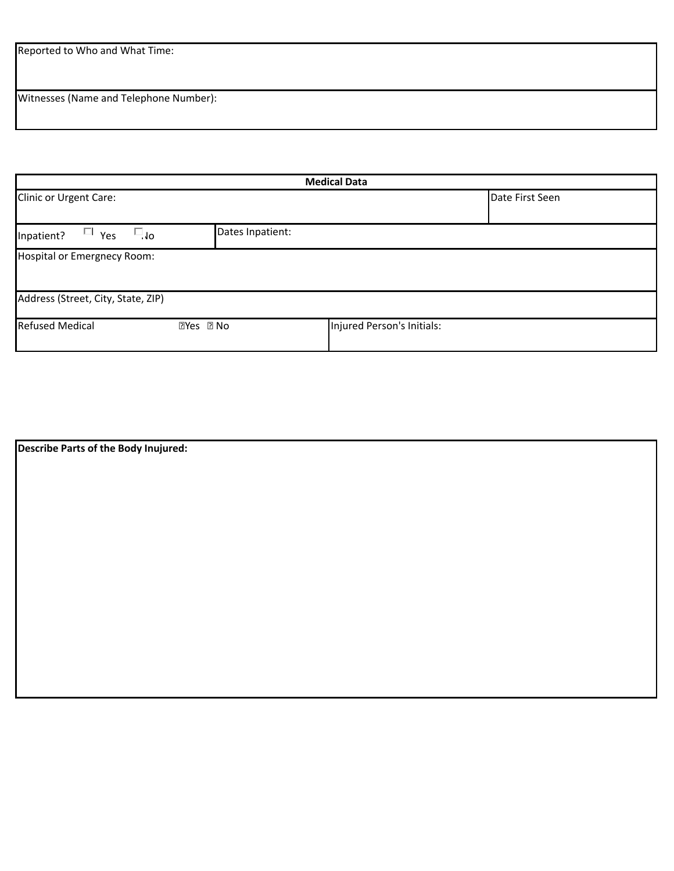Reported to Who and What Time:

Witnesses (Name and Telephone Number):

| <b>Medical Data</b>                              |                            |                            |                 |  |  |
|--------------------------------------------------|----------------------------|----------------------------|-----------------|--|--|
| Clinic or Urgent Care:                           |                            |                            | Date First Seen |  |  |
| $\Box$ Yes<br>$\Box_{\mathsf{do}}$<br>Inpatient? | Dates Inpatient:           |                            |                 |  |  |
| Hospital or Emergnecy Room:                      |                            |                            |                 |  |  |
| Address (Street, City, State, ZIP)               |                            |                            |                 |  |  |
| <b>Refused Medical</b>                           | $\bullet$ Yes $\bullet$ No | Injured Person's Initials: |                 |  |  |

| Describe Parts of the Body Inujured: |  |  |
|--------------------------------------|--|--|
|                                      |  |  |
|                                      |  |  |
|                                      |  |  |
|                                      |  |  |
|                                      |  |  |
|                                      |  |  |
|                                      |  |  |
|                                      |  |  |
|                                      |  |  |
|                                      |  |  |
|                                      |  |  |